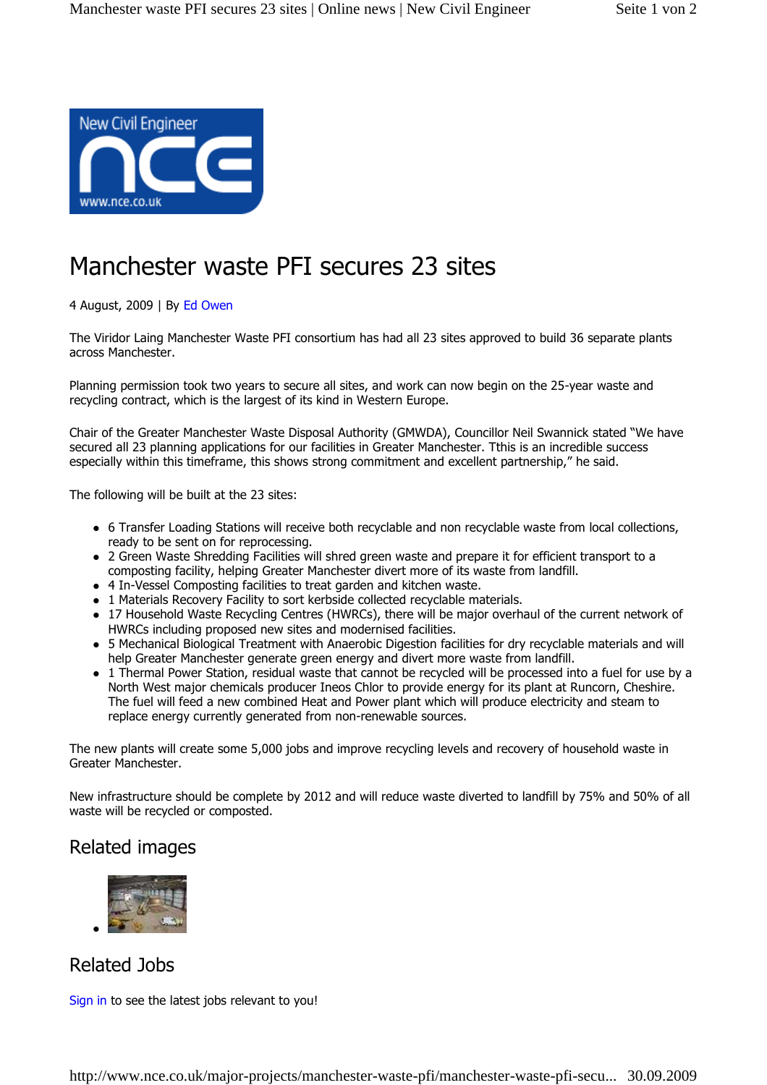

## Manchester waste PFI secures 23 sites

4 August, 2009 | By Ed Owen

The Viridor Laing Manchester Waste PFI consortium has had all 23 sites approved to build 36 separate plants across Manchester.

Planning permission took two years to secure all sites, and work can now begin on the 25-year waste and recycling contract, which is the largest of its kind in Western Europe.

Chair of the Greater Manchester Waste Disposal Authority (GMWDA), Councillor Neil Swannick stated "We have secured all 23 planning applications for our facilities in Greater Manchester. Tthis is an incredible success especially within this timeframe, this shows strong commitment and excellent partnership," he said.

The following will be built at the 23 sites:

- 6 Transfer Loading Stations will receive both recyclable and non recyclable waste from local collections, ready to be sent on for reprocessing.
- 2 Green Waste Shredding Facilities will shred green waste and prepare it for efficient transport to a composting facility, helping Greater Manchester divert more of its waste from landfill.
- 4 In-Vessel Composting facilities to treat garden and kitchen waste.
- 1 Materials Recovery Facility to sort kerbside collected recyclable materials.
- 17 Household Waste Recycling Centres (HWRCs), there will be major overhaul of the current network of HWRCs including proposed new sites and modernised facilities.
- 5 Mechanical Biological Treatment with Anaerobic Digestion facilities for dry recyclable materials and will help Greater Manchester generate green energy and divert more waste from landfill.
- 1 Thermal Power Station, residual waste that cannot be recycled will be processed into a fuel for use by a North West major chemicals producer Ineos Chlor to provide energy for its plant at Runcorn, Cheshire. The fuel will feed a new combined Heat and Power plant which will produce electricity and steam to replace energy currently generated from non-renewable sources.

The new plants will create some 5,000 jobs and improve recycling levels and recovery of household waste in Greater Manchester.

New infrastructure should be complete by 2012 and will reduce waste diverted to landfill by 75% and 50% of all waste will be recycled or composted.

## Related images



Related Jobs

Sign in to see the latest jobs relevant to you!